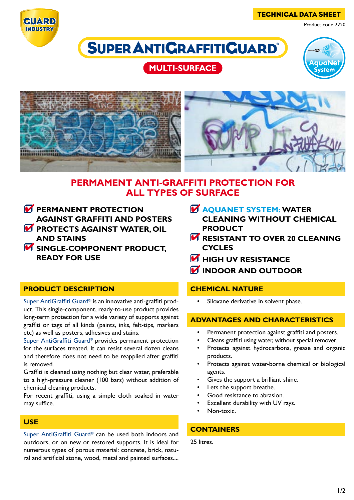

TECHNICAL DATA SHEET

Product code 2220

# **SUPER ANTICRAFFITICUARD**

# **MULTI-SURFACE**





## **PERMAMENT ANTI-GRAFFITI PROTECTION FOR ALL TYPES OF SURFACE**

- *M* PERMANENT PROTECTION **AGAINST GRAFFITI AND POSTERS**
- *M* PROTECTS AGAINST WATER, OIL **AND STAINS**
- *M* SINGLE-COMPONENT PRODUCT, **READY FOR USE**

## **PRODUCT DESCRIPTION**

Super AntiGraffiti Guard® is an innovative anti-graffiti product. This single-component, ready-to-use product provides long-term protection for a wide variety of supports against graffiti or tags of all kinds (paints, inks, felt-tips, markers etc) as well as posters, adhesives and stains.

Super AntiGraffiti Guard® provides permanent protection for the surfaces treated. It can resist several dozen cleans and therefore does not need to be reapplied after graffiti is removed.

Graffiti is cleaned using nothing but clear water, preferable to a high-pressure cleaner (100 bars) without addition of chemical cleaning products.

For recent graffiti, using a simple cloth soaked in water may suffice.

#### **USE**

Super AntiGraffiti Guard® can be used both indoors and outdoors, or on new or restored supports. It is ideal for numerous types of porous material: concrete, brick, natural and artificial stone, wood, metal and painted surfaces....

## **AQUANET SYSTEM: WATER CLEANING WITHOUT CHEMICAL**

- **PRODUCT**
- **M RESISTANT TO OVER 20 CLEANING CYCLES**
- **M** HIGH UV RESISTANCE
- *M* INDOOR AND OUTDOOR

## **CHEMICAL NATURE**

Siloxane derivative in solvent phase.

## **ADVANTAGES AND CHARACTERISTICS**

- Permanent protection against graffiti and posters.
- Cleans graffiti using water, without special remover.
- Protects against hydrocarbons, grease and organic products.
- Protects against water-borne chemical or biological agents.
- Gives the support a brilliant shine.
- Lets the support breathe.
- Good resistance to abrasion.
- Excellent durability with UV rays.
- Non-toxic.

## **CONTAINERS**

25 litres.